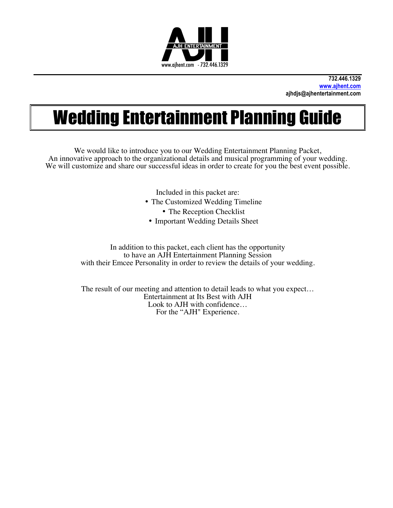

# Wedding Entertainment Planning Guide

We would like to introduce you to our Wedding Entertainment Planning Packet, An innovative approach to the organizational details and musical programming of your wedding. We will customize and share our successful ideas in order to create for you the best event possible.

Included in this packet are:

- The Customized Wedding Timeline
	- The Reception Checklist
- Important Wedding Details Sheet

In addition to this packet, each client has the opportunity to have an AJH Entertainment Planning Session with their Emcee Personality in order to review the details of your wedding.

The result of our meeting and attention to detail leads to what you expect… Entertainment at Its Best with AJH Look to AJH with confidence… For the "AJH" Experience.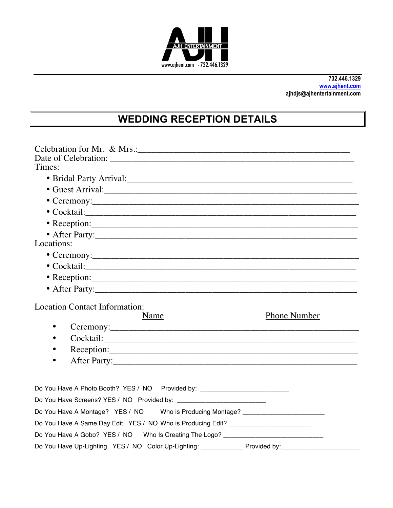

## **WEDDING RECEPTION DETAILS**

| Times:                                                                                        |
|-----------------------------------------------------------------------------------------------|
|                                                                                               |
|                                                                                               |
|                                                                                               |
| • Ceremony: $\qquad \qquad$                                                                   |
|                                                                                               |
|                                                                                               |
| • After Party:                                                                                |
| Locations:                                                                                    |
|                                                                                               |
|                                                                                               |
|                                                                                               |
| • After Party:                                                                                |
| <b>Location Contact Information:</b><br><b>Phone Number</b><br>Name                           |
| $\bullet$                                                                                     |
|                                                                                               |
|                                                                                               |
| $\bullet$                                                                                     |
|                                                                                               |
| Do You Have A Photo Booth? YES / NO Provided by: _______________________________              |
|                                                                                               |
| Do You Have A Montage? YES / NO Who is Producing Montage? ______________________              |
| Do You Have A Same Day Edit YES / NO Who is Producing Edit? ____________________              |
| Do You Have A Gobo? YES / NO  Who Is Creating The Logo? ________________________              |
| Do You Have Up-Lighting YES / NO Color Up-Lighting: ______________ Provided by:______________ |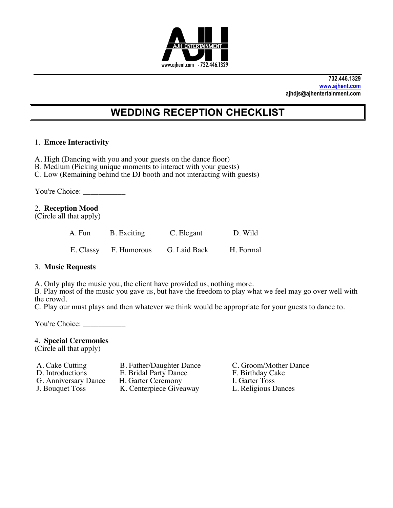

### **WEDDING RECEPTION CHECKLIST**

#### 1. **Emcee Interactivity**

- A. High (Dancing with you and your guests on the dance floor)
- B. Medium (Picking unique moments to interact with your guests)
- C. Low (Remaining behind the DJ booth and not interacting with guests)

You're Choice:

#### 2. **Reception Mood**

(Circle all that apply)

| A. Fun B. Exciting    | C. Elegant   | D. Wild   |
|-----------------------|--------------|-----------|
| E. Classy F. Humorous | G. Laid Back | H. Formal |

#### 3. **Music Requests**

A. Only play the music you, the client have provided us, nothing more.

B. Play most of the music you gave us, but have the freedom to play what we feel may go over well with the crowd.

C. Play our must plays and then whatever we think would be appropriate for your guests to dance to.

You're Choice: \_\_\_\_\_\_\_\_\_\_\_

#### 4. **Special Ceremonies**

(Circle all that apply)

G. Anniversary Dance H. Garter Ceremony I. Garter Toss<br>
J. Bouquet Toss K. Centerpiece Giveaway L. Religious Dances

- 
- 
- 
- K. Centerpiece Giveaway
- A. Cake Cutting B. Father/Daughter Dance C. Groom/Mother Dance<br>
D. Introductions E. Bridal Party Dance F. Birthday Cake E. Bridal Party Dance F. Birthday Ca<br>
H. Garter Ceremony I. Garter Toss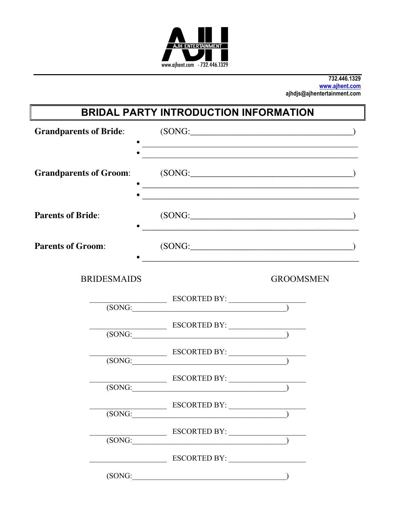

# **BRIDAL PARTY INTRODUCTION INFORMATION**

| <b>Grandparents of Bride:</b> | <u> 1989 - Jan Samuel Barbara, margaret eta idazlea (h. 1982).</u>                                                                                                                                                                                                                                                                                                                                                                                                                     | (SONG:           |  |
|-------------------------------|----------------------------------------------------------------------------------------------------------------------------------------------------------------------------------------------------------------------------------------------------------------------------------------------------------------------------------------------------------------------------------------------------------------------------------------------------------------------------------------|------------------|--|
| <b>Grandparents of Groom:</b> |                                                                                                                                                                                                                                                                                                                                                                                                                                                                                        | (SONG:           |  |
| <b>Parents of Bride:</b>      | and the control of the control of the control of the control of the control of the control of the control of the                                                                                                                                                                                                                                                                                                                                                                       | (SONG:           |  |
| <b>Parents of Groom:</b>      |                                                                                                                                                                                                                                                                                                                                                                                                                                                                                        | (SONG:           |  |
| <b>BRIDESMAIDS</b>            |                                                                                                                                                                                                                                                                                                                                                                                                                                                                                        | <b>GROOMSMEN</b> |  |
|                               |                                                                                                                                                                                                                                                                                                                                                                                                                                                                                        |                  |  |
|                               | $\overline{\text{(SONG:}\n\qquad \qquad \qquad \qquad }$                                                                                                                                                                                                                                                                                                                                                                                                                               |                  |  |
|                               | $\begin{array}{c}\n  \text{ESCORTED BY:}\n \quad \text{(SONG:}\n \quad \text{(1)}\n \quad \text{(2)}\n \quad \text{(3)}\n \quad \text{(3)}\n \quad \text{(4)}\n \quad \text{(5)}\n \quad \text{(5)}\n \quad \text{(5)}\n \quad \text{(6)}\n \quad \text{(6)}\n \quad \text{(7)}\n \quad \text{(8)}\n \quad \text{(8)}\n \quad \text{(9)}\n \quad \text{(1)}\n \quad \text{(1)}\n \quad \text{(1)}\n \quad \text{(1)}\n \quad \text{(1)}\n \quad \text{(1)}\n \quad \text{(2)}\n \quad$ |                  |  |
|                               | $\overline{\text{ESCORIED BY:}}$<br>(SONG: <u>contract and contract and contract and contract and contract and contract and contract and contract and contract and contract of <math>\mathbb{R}</math> and contract and contract and contract and contract of <math>\mathbb{R}</math> and contract</u>                                                                                                                                                                                 |                  |  |
| (SONG:                        |                                                                                                                                                                                                                                                                                                                                                                                                                                                                                        |                  |  |
| (SONG:                        | ESCORTED BY:                                                                                                                                                                                                                                                                                                                                                                                                                                                                           |                  |  |
| (SONG:                        |                                                                                                                                                                                                                                                                                                                                                                                                                                                                                        |                  |  |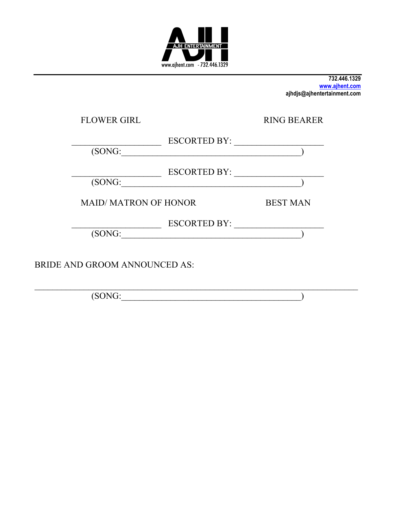

| <b>FLOWER GIRL</b>            | <b>RING BEARER</b> |
|-------------------------------|--------------------|
| <b>ESCORTED BY:</b><br>(SONG: |                    |
| <b>ESCORTED BY:</b><br>(SONG: |                    |
| <b>MAID/MATRON OF HONOR</b>   | <b>BEST MAN</b>    |
| ESCORTED BY:<br>(SONG:        |                    |
| BRIDE AND GROOM ANNOUNCED AS: |                    |

 $\fbox{(SONG:}\fbox{10011})$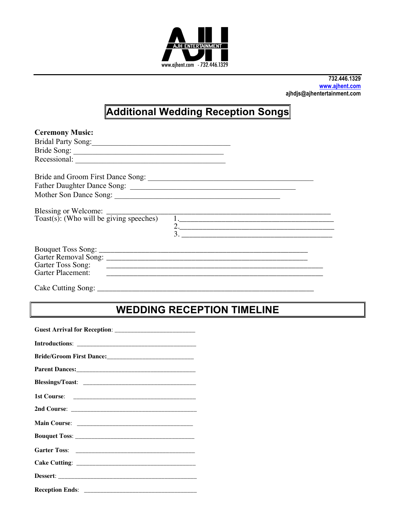

# **Additional Wedding Reception Songs**

| <b>Ceremony Music:</b>                                                    |                          |  |
|---------------------------------------------------------------------------|--------------------------|--|
| Bridal Party Song: 2008                                                   |                          |  |
| Bride Song:                                                               |                          |  |
|                                                                           |                          |  |
| Bride and Groom First Dance Song:                                         |                          |  |
|                                                                           |                          |  |
|                                                                           |                          |  |
| Toast(s): (Who will be giving speeches)                                   | $\overline{1}$ .         |  |
|                                                                           | 2.                       |  |
|                                                                           | $\overline{\mathbf{3.}}$ |  |
|                                                                           |                          |  |
|                                                                           |                          |  |
| Garter Toss Song:<br><u> 1980 - Johann Barn, fransk politik (f. 1980)</u> |                          |  |
| <b>Garter Placement:</b>                                                  |                          |  |
| Cake Cutting Song                                                         |                          |  |

### **WEDDING RECEPTION TIMELINE**

| <b>Reception Ends:</b> |
|------------------------|